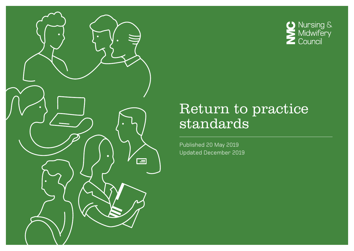

# **O** Nursing &<br>Midwifery<br>Council

### Return to practice standards

Published 20 May 2019 Updated December 2019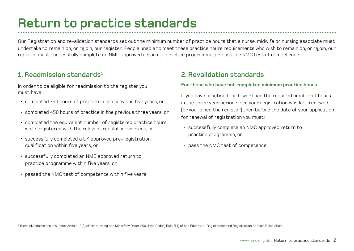# **Return to practice standards**

Our Registration and revalidation standards set out the minimum number of practice hours that a nurse, midwife or nursing associate must undertake to remain on, or rejoin, our register. People unable to meet these practice hours requirements who wish to remain on, or rejoin, our register must successfully complete an NMC approved return to practice programme ,or, pass the NMC test of competence.

### **1. Readmission standards1**

In order to be eligible for readmission to the register you must have:

- completed 750 hours of practice in the previous five years, or
- completed 450 hours of practice in the previous three years, or
- completed the equivalent number of registered practice hours while registered with the relevant regulator overseas, or
- successfully completed a UK approved pre-registration qualification within five years, or
- successfully completed an NMC approved return to practice programme within five years, or
- passed the NMC test of competence within five years.

### **2. Revalidation standards**

#### **For those who have not completed minimum practice hours**

If you have practised for fewer than the required number of hours in the three year period since your registration was last renewed (or you joined the register) then before the date of your application for renewal of registration you must:

- successfully complete an NMC approved return to practice programme, or
- pass the NMC test of competence.

1 These standards are set under Article 19(3) of the Nursing and Midwifery Order 2001 (the Order) Rule 3(4) of the Education, Registration and Registration Appeals Rules 2004.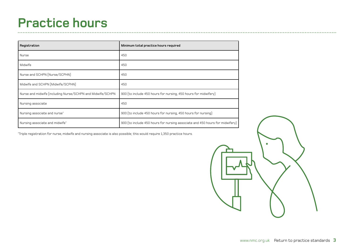# **Practice hours**

| Registration                                               | Minimum total practice hours required                                        |
|------------------------------------------------------------|------------------------------------------------------------------------------|
| Nurse                                                      | 450                                                                          |
| Midwife                                                    | 450                                                                          |
| Nurse and SCHPN (Nurse/SCPHN)                              | 450                                                                          |
| Midwife and SCHPN (Midwife/SCPHN)                          | 450                                                                          |
| Nurse and midwife (including Nurse/SCHPN and Midwife/SCHPN | 900 (to include 450 hours for nursing, 450 hours for midwifery)              |
| Nursing associate                                          | 450                                                                          |
| Nursing associate and nurse*                               | 900 (to include 450 hours for nursing, 450 hours for nursing)                |
| Nursing associate and midwife*                             | 900 (to include 450 hours for nursing associate and 450 hours for midwifery) |

\* Triple registration for nurse, midwife and nursing associate is also possible; this would require 1,350 practice hours.

 $\sim$